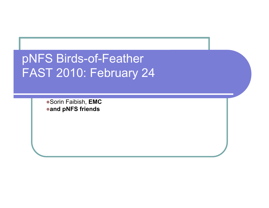### pNFS Birds-of-Feather FAST 2010: February 24

Sorin Faibish, **EMC and pNFS friends**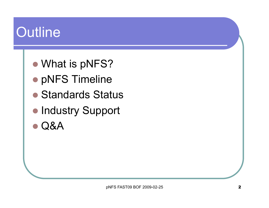# **Outline**

- What is pNFS?
- pNFS Timeline
- Standards Status
- **Industry Support**
- Q&A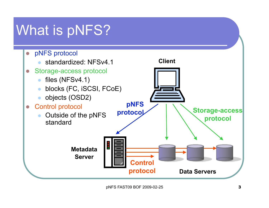## What is pNFS?

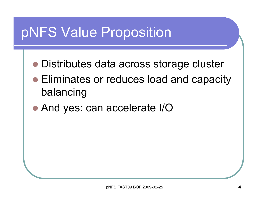## pNFS Value Proposition

- Distributes data across storage cluster
- Eliminates or reduces load and capacity balancing
- And yes: can accelerate I/O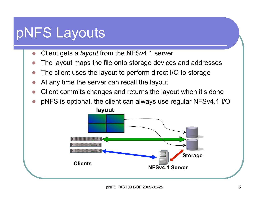## pNFS Layouts

- Client gets a *layout* from the NFSv4.1 server
- The layout maps the file onto storage devices and addresses
- The client uses the layout to perform direct I/O to storage
- At any time the server can recall the layout
- Client commits changes and returns the layout when it's done
- pNFS is optional, the client can always use regular NFSv4.1 I/O

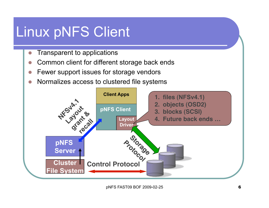## Linux pNFS Client

- Transparent to applications
- Common client for different storage back ends
- Fewer support issues for storage vendors
- Normalizes access to clustered file systems

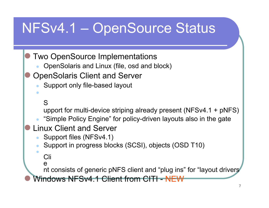## NFSv4.1 – OpenSource Status

- Two OpenSource Implementations
	- OpenSolaris and Linux (file, osd and block)
- OpenSolaris Client and Server
	- Support only file-based layout

```
S
```
 $\bullet$ 

upport for multi-device striping already present (NFSv4.1 + pNFS)

- "Simple Policy Engine" for policy-driven layouts also in the gate
- Linux Client and Server
	- Support files (NFSv4.1)
	- Support in progress blocks (SCSI), objects (OSD T10)

```
Cli
```
 $\bullet$ 

e

nt consists of generic pNFS client and "plug ins" for "layout drivers

Windows NFSv4.1 Client from CITI - NEW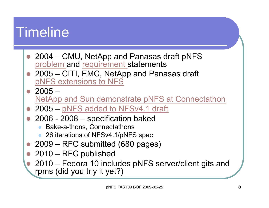## **Timeline**

- 2004 CMU, NetApp and Panasas draft pNFS problem and requirement statements
- 2005 CITI, EMC, NetApp and Panasas draft pNFS extensions to NFS
- $2005 -$ NetApp and Sun demonstrate pNFS at Connectathon
- 2005 pNFS added to NFSv4.1 draft
- 2006 2008 specification baked
	- Bake-a-thons, Connectathons
	- 26 iterations of NFSv4.1/pNFS spec
- 2009 RFC submitted (680 pages)
- 2010 RFC published
	- 2010 Fedora 10 includes pNFS server/client gits and rpms (did you triy it yet?)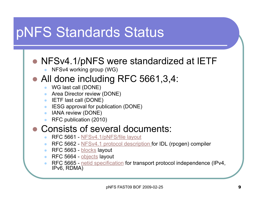## pNFS Standards Status

### ● NFSv4.1/pNFS were standardized at IETF

NFSv4 working group (WG)

#### • All done including RFC 5661,3,4:

- WG last call (DONE)
- Area Director review (DONE)
- **IETF last call (DONE)**
- IESG approval for publication (DONE)
- IANA review (DONE)
- RFC publication (2010)

#### Consists of several documents:

- RFC 5661 NFSv4.1/pNFS/file layout
- RFC 5662 NFSv4.1 protocol description for IDL (rpcgen) compiler
- RFC 5663 blocks layout
- RFC 5664 objects layout
- RFC 5665 netid specification for transport protocol independence (IPv4, IPv6, RDMA)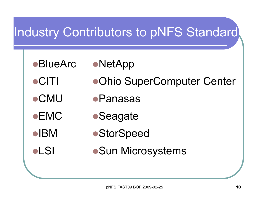### Industry Contributors to pNFS Standard

- 
- ●BlueArc ●NetApp
- CITI Ohio SuperComputer Center
- CMU Panasas
- 
- 

- ●EMC Seagate
- ■IBM StorSpeed
- •LSI •Sun Microsystems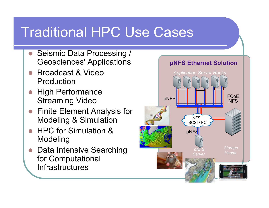## Traditional HPC Use Cases

- Seismic Data Processing / Geosciences' Applications
- Broadcast & Video Production
- High Performance Streaming Video
- Finite Element Analysis for Modeling & Simulation
- HPC for Simulation & Modeling
- Data Intensive Searching for Computational **Infrastructures**

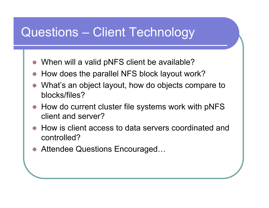### Questions – Client Technology

- When will a valid pNFS client be available?
- How does the parallel NFS block layout work?
- What's an object layout, how do objects compare to blocks/files?
- How do current cluster file systems work with pNFS client and server?
- How is client access to data servers coordinated and controlled?
- Attendee Questions Encouraged...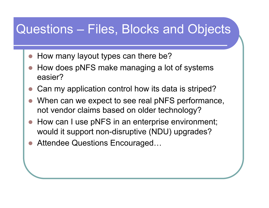### Questions – Files, Blocks and Objects

- How many layout types can there be?
- How does pNFS make managing a lot of systems easier?
- Can my application control how its data is striped?
- When can we expect to see real pNFS performance, not vendor claims based on older technology?
- How can I use pNFS in an enterprise environment; would it support non-disruptive (NDU) upgrades?
- Attendee Questions Encouraged…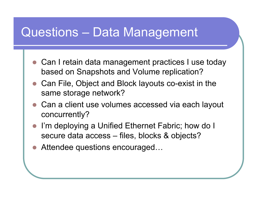### Questions – Data Management

- Can I retain data management practices I use today based on Snapshots and Volume replication?
- Can File, Object and Block layouts co-exist in the same storage network?
- Can a client use volumes accessed via each layout concurrently?
- I'm deploying a Unified Ethernet Fabric; how do I secure data access – files, blocks & objects?
- Attendee questions encouraged...